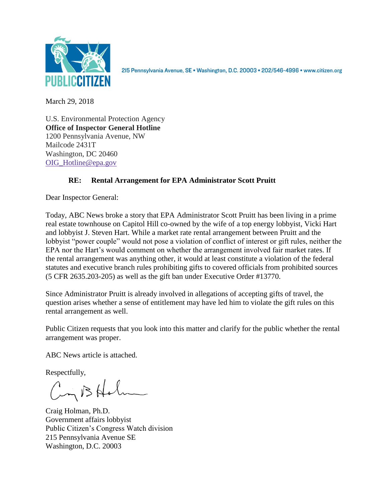

215 Pennsylvania Avenue, SE · Washington, D.C. 20003 · 202/546-4996 · www.citizen.org

March 29, 2018

U.S. Environmental Protection Agency **Office of Inspector General Hotline** 1200 Pennsylvania Avenue, NW Mailcode 2431T Washington, DC 20460 [OIG\\_Hotline@epa.gov](mailto:OIG_Hotline@epa.gov)

## **RE: Rental Arrangement for EPA Administrator Scott Pruitt**

Dear Inspector General:

Today, ABC News broke a story that EPA Administrator Scott Pruitt has been living in a prime real estate townhouse on Capitol Hill co-owned by the wife of a top energy lobbyist, Vicki Hart and lobbyist J. Steven Hart. While a market rate rental arrangement between Pruitt and the lobbyist "power couple" would not pose a violation of conflict of interest or gift rules, neither the EPA nor the Hart's would comment on whether the arrangement involved fair market rates. If the rental arrangement was anything other, it would at least constitute a violation of the federal statutes and executive branch rules prohibiting gifts to covered officials from prohibited sources (5 CFR 2635.203-205) as well as the gift ban under Executive Order #13770.

Since Administrator Pruitt is already involved in allegations of accepting gifts of travel, the question arises whether a sense of entitlement may have led him to violate the gift rules on this rental arrangement as well.

Public Citizen requests that you look into this matter and clarify for the public whether the rental arrangement was proper.

ABC News article is attached.

Respectfully,

Cin BHol

Craig Holman, Ph.D. Government affairs lobbyist Public Citizen's Congress Watch division 215 Pennsylvania Avenue SE Washington, D.C. 20003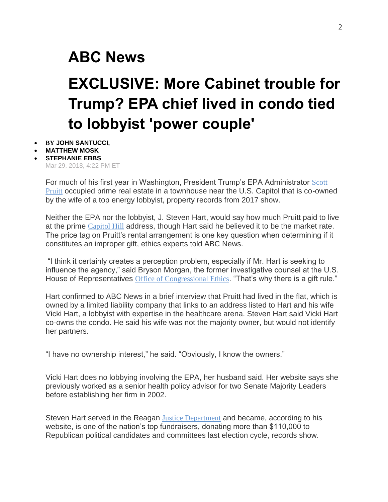## **ABC News**

## **EXCLUSIVE: More Cabinet trouble for Trump? EPA chief lived in condo tied to lobbyist 'power couple'**

- **BY JOHN SANTUCCI,**
- **MATTHEW MOSK**
- **STEPHANIE EBBS** Mar 29, 2018, 4:22 PM ET

For much of his first year in Washington, President Trump's EPA Administrator [Scott](http://abcnews.go.com/topics/news/whitehouse/scott-pruitt.htm) [Pruitt](http://abcnews.go.com/topics/news/whitehouse/scott-pruitt.htm) occupied prime real estate in a townhouse near the U.S. Capitol that is co-owned by the wife of a top energy lobbyist, property records from 2017 show.

Neither the EPA nor the lobbyist, J. Steven Hart, would say how much Pruitt paid to live at the prime [Capitol](http://abcnews.go.com/topics/news/us/capitol-hill.htm) Hill address, though Hart said he believed it to be the market rate. The price tag on Pruitt's rental arrangement is one key question when determining if it constitutes an improper gift, ethics experts told ABC News.

"I think it certainly creates a perception problem, especially if Mr. Hart is seeking to influence the agency," said Bryson Morgan, the former investigative counsel at the U.S. House of Representatives Office of [Congressional](http://abcnews.go.com/topics/news/us/office-of-congressional-ethics.htm) Ethics. "That's why there is a gift rule."

Hart confirmed to ABC News in a brief interview that Pruitt had lived in the flat, which is owned by a limited liability company that links to an address listed to Hart and his wife Vicki Hart, a lobbyist with expertise in the healthcare arena. Steven Hart said Vicki Hart co-owns the condo. He said his wife was not the majority owner, but would not identify her partners.

"I have no ownership interest," he said. "Obviously, I know the owners."

Vicki Hart does no lobbying involving the EPA, her husband said. Her website says she previously worked as a senior health policy advisor for two Senate Majority Leaders before establishing her firm in 2002.

Steven Hart served in the Reagan Justice [Department](http://abcnews.go.com/topics/news/us/justice-department.htm) and became, according to his website, is one of the nation's top fundraisers, donating more than \$110,000 to Republican political candidates and committees last election cycle, records show.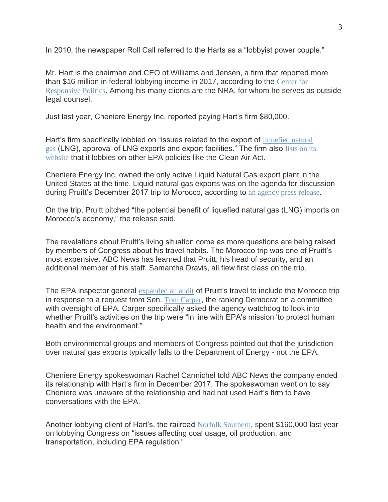In 2010, the newspaper Roll Call referred to the Harts as a "lobbyist power couple."

Mr. Hart is the chairman and CEO of Williams and Jensen, a firm that reported more than \$16 million in federal lobbying income in 2017, according to the [Center](http://abcnews.go.com/topics/news/us/center-for-responsive-politics.htm) for [Responsive](http://abcnews.go.com/topics/news/us/center-for-responsive-politics.htm) Politics. Among his many clients are the NRA, for whom he serves as outside legal counsel.

Just last year, Cheniere Energy Inc. reported paying Hart's firm \$80,000.

Hart's firm specifically lobbied on "issues related to the export of [liquefied](http://abcnews.go.com/topics/news/energy/liquefied-natural-gas.htm) natural [gas](http://abcnews.go.com/topics/news/energy/liquefied-natural-gas.htm) (LNG), approval of LNG exports and export facilities." The firm also [lists](http://www.williamsandjensen.com/practice-areas/energy-and-environment) on its [website](http://www.williamsandjensen.com/practice-areas/energy-and-environment) that it lobbies on other EPA policies like the Clean Air Act.

Cheniere Energy Inc. owned the only active Liquid Natural Gas export plant in the United States at the time. Liquid natural gas exports was on the agenda for discussion during Pruitt's December 2017 trip to Morocco, according to an [agency](https://www.epa.gov/newsreleases/administrator-pruitt-promotes-environmental-cooperation-us-partners-morocco) press release.

On the trip, Pruitt pitched "the potential benefit of liquefied natural gas (LNG) imports on Morocco's economy," the release said.

The revelations about Pruitt's living situation come as more questions are being raised by members of Congress about his travel habits. The Morocco trip was one of Pruitt's most expensive. ABC News has learned that Pruitt, his head of security, and an additional member of his staff, Samantha Dravis, all flew first class on the trip.

The EPA inspector general [expanded](https://twitter.com/EPWDems/status/951211595350396928) an audit of Pruitt's travel to include the Morocco trip in response to a request from Sen. Tom [Carper](http://abcnews.go.com/topics/news/us/tom-carper.htm), the ranking Democrat on a committee with oversight of EPA. Carper specifically asked the agency watchdog to look into whether Pruitt's activities on the trip were "in line with EPA's mission 'to protect human health and the environment."

Both environmental groups and members of Congress pointed out that the jurisdiction over natural gas exports typically falls to the Department of Energy - not the EPA.

Cheniere Energy spokeswoman Rachel Carmichel told ABC News the company ended its relationship with Hart's firm in December 2017. The spokeswoman went on to say Cheniere was unaware of the relationship and had not used Hart's firm to have conversations with the EPA.

Another lobbying client of Hart's, the railroad Norfolk [Southern](http://abcnews.go.com/topics/business/companies/norfolk-southern.htm), spent \$160,000 last year on lobbying Congress on "issues affecting coal usage, oil production, and transportation, including EPA regulation."